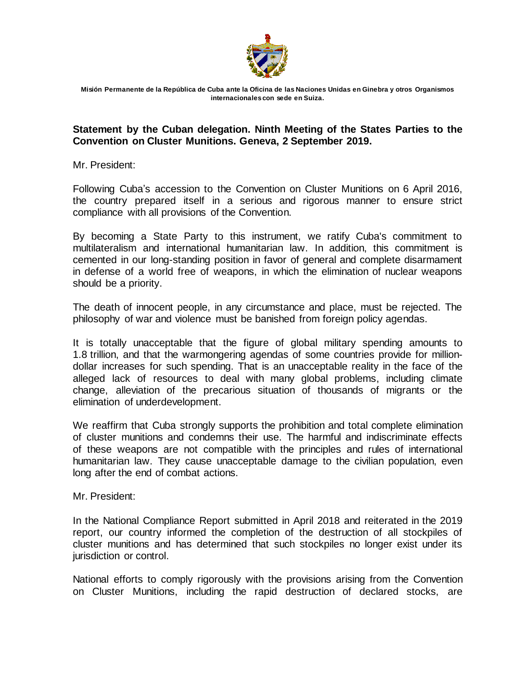

**Misión Permanente de la República de Cuba ante la Oficina de las Naciones Unidas en Ginebra y otros Organismos internacionales con sede en Suiza.**

## **Statement by the Cuban delegation. Ninth Meeting of the States Parties to the Convention on Cluster Munitions. Geneva, 2 September 2019.**

Mr. President:

Following Cuba's accession to the Convention on Cluster Munitions on 6 April 2016, the country prepared itself in a serious and rigorous manner to ensure strict compliance with all provisions of the Convention.

By becoming a State Party to this instrument, we ratify Cuba's commitment to multilateralism and international humanitarian law. In addition, this commitment is cemented in our long-standing position in favor of general and complete disarmament in defense of a world free of weapons, in which the elimination of nuclear weapons should be a priority.

The death of innocent people, in any circumstance and place, must be rejected. The philosophy of war and violence must be banished from foreign policy agendas.

It is totally unacceptable that the figure of global military spending amounts to 1.8 trillion, and that the warmongering agendas of some countries provide for milliondollar increases for such spending. That is an unacceptable reality in the face of the alleged lack of resources to deal with many global problems, including climate change, alleviation of the precarious situation of thousands of migrants or the elimination of underdevelopment.

We reaffirm that Cuba strongly supports the prohibition and total complete elimination of cluster munitions and condemns their use. The harmful and indiscriminate effects of these weapons are not compatible with the principles and rules of international humanitarian law. They cause unacceptable damage to the civilian population, even long after the end of combat actions.

Mr. President:

In the National Compliance Report submitted in April 2018 and reiterated in the 2019 report, our country informed the completion of the destruction of all stockpiles of cluster munitions and has determined that such stockpiles no longer exist under its jurisdiction or control.

National efforts to comply rigorously with the provisions arising from the Convention on Cluster Munitions, including the rapid destruction of declared stocks, are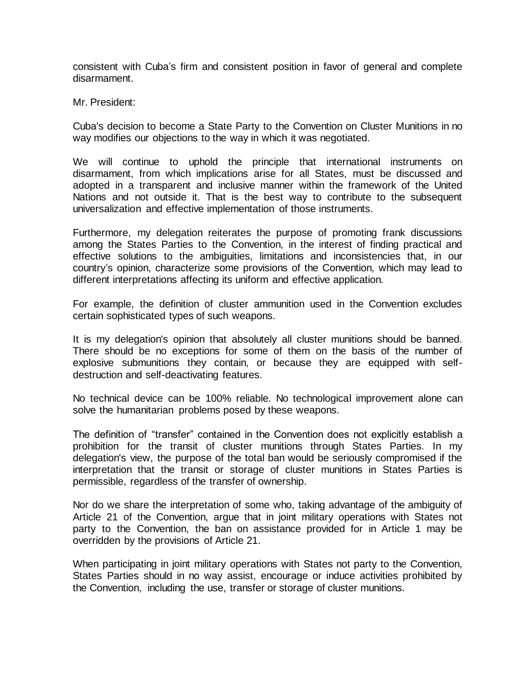consistent with Cuba's firm and consistent position in favor of general and complete disarmament.

Mr. President:

Cuba's decision to become a State Party to the Convention on Cluster Munitions in no way modifies our objections to the way in which it was negotiated.

We will continue to uphold the principle that international instruments on disarmament, from which implications arise for all States, must be discussed and adopted in a transparent and inclusive manner within the framework of the United Nations and not outside it. That is the best way to contribute to the subsequent universalization and effective implementation of those instruments.

Furthermore, my delegation reiterates the purpose of promoting frank discussions among the States Parties to the Convention, in the interest of finding practical and effective solutions to the ambiguities, limitations and inconsistencies that, in our country's opinion, characterize some provisions of the Convention, which may lead to different interpretations affecting its uniform and effective application.

For example, the definition of cluster ammunition used in the Convention excludes certain sophisticated types of such weapons.

It is my delegation's opinion that absolutely all cluster munitions should be banned. There should be no exceptions for some of them on the basis of the number of explosive submunitions they contain, or because they are equipped with selfdestruction and self-deactivating features.

No technical device can be 100% reliable. No technological improvement alone can solve the humanitarian problems posed by these weapons.

The definition of "transfer" contained in the Convention does not explicitly establish a prohibition for the transit of cluster munitions through States Parties. In my delegation's view, the purpose of the total ban would be seriously compromised if the interpretation that the transit or storage of cluster munitions in States Parties is permissible, regardless of the transfer of ownership.

Nor do we share the interpretation of some who, taking advantage of the ambiguity of Article 21 of the Convention, argue that in joint military operations with States not party to the Convention, the ban on assistance provided for in Article 1 may be overridden by the provisions of Article 21.

When participating in joint military operations with States not party to the Convention, States Parties should in no way assist, encourage or induce activities prohibited by the Convention, including the use, transfer or storage of cluster munitions.